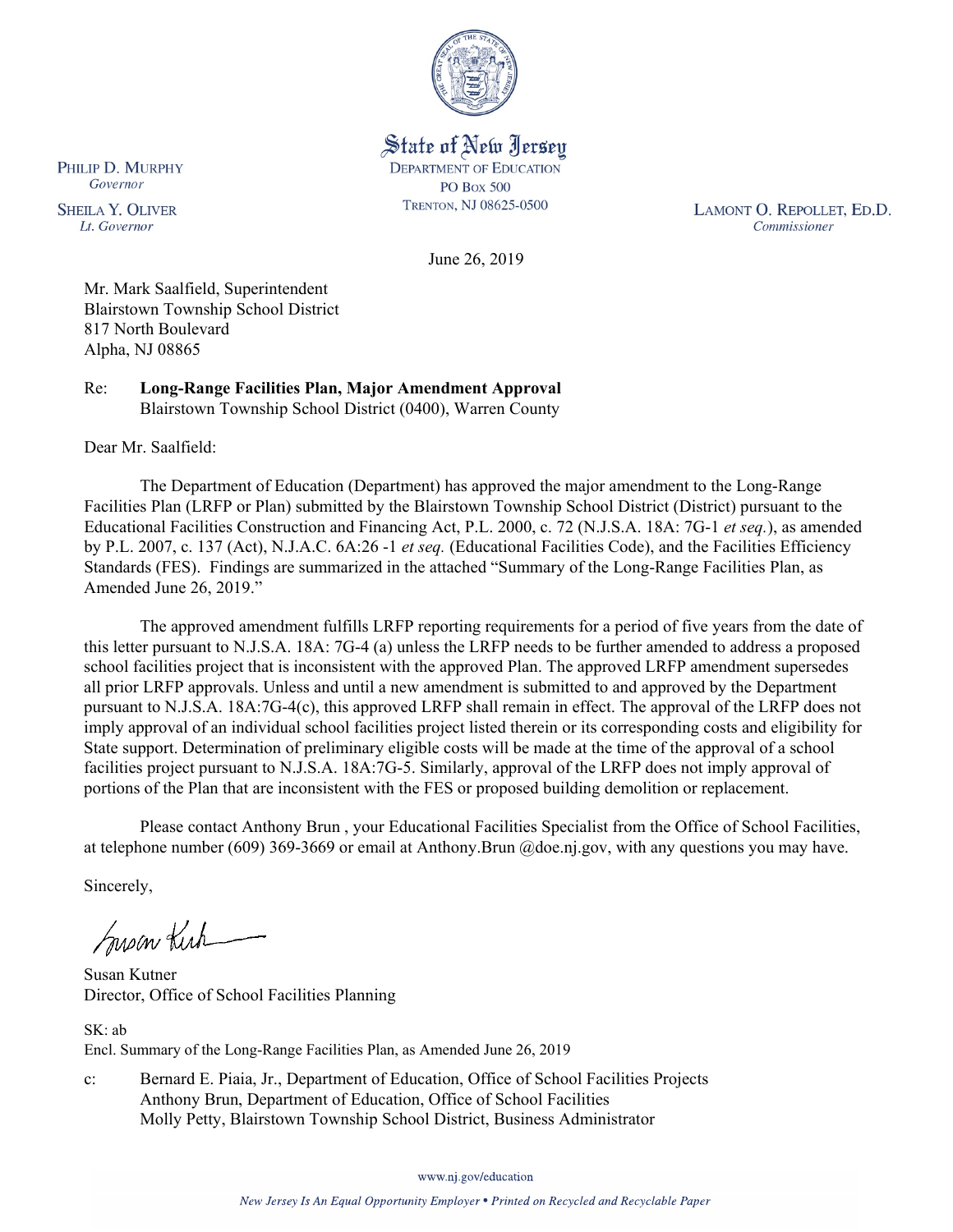

State of New Jersey **DEPARTMENT OF EDUCATION PO Box 500** TRENTON, NJ 08625-0500

LAMONT O. REPOLLET, ED.D. Commissioner

June 26, 2019

Mr. Mark Saalfield, Superintendent Blairstown Township School District 817 North Boulevard Alpha, NJ 08865

Re: **Long-Range Facilities Plan, Major Amendment Approval** Blairstown Township School District (0400), Warren County

Dear Mr. Saalfield:

The Department of Education (Department) has approved the major amendment to the Long-Range Facilities Plan (LRFP or Plan) submitted by the Blairstown Township School District (District) pursuant to the Educational Facilities Construction and Financing Act, P.L. 2000, c. 72 (N.J.S.A. 18A: 7G-1 *et seq.*), as amended by P.L. 2007, c. 137 (Act), N.J.A.C. 6A:26 -1 *et seq.* (Educational Facilities Code), and the Facilities Efficiency Standards (FES). Findings are summarized in the attached "Summary of the Long-Range Facilities Plan, as Amended June 26, 2019."

The approved amendment fulfills LRFP reporting requirements for a period of five years from the date of this letter pursuant to N.J.S.A. 18A: 7G-4 (a) unless the LRFP needs to be further amended to address a proposed school facilities project that is inconsistent with the approved Plan. The approved LRFP amendment supersedes all prior LRFP approvals. Unless and until a new amendment is submitted to and approved by the Department pursuant to N.J.S.A. 18A:7G-4(c), this approved LRFP shall remain in effect. The approval of the LRFP does not imply approval of an individual school facilities project listed therein or its corresponding costs and eligibility for State support. Determination of preliminary eligible costs will be made at the time of the approval of a school facilities project pursuant to N.J.S.A. 18A:7G-5. Similarly, approval of the LRFP does not imply approval of portions of the Plan that are inconsistent with the FES or proposed building demolition or replacement.

Please contact Anthony Brun , your Educational Facilities Specialist from the Office of School Facilities, at telephone number (609) 369-3669 or email at Anthony.Brun @doe.nj.gov, with any questions you may have.

Sincerely,

Susan Kich

Susan Kutner Director, Office of School Facilities Planning

SK: ab Encl. Summary of the Long-Range Facilities Plan, as Amended June 26, 2019

c: Bernard E. Piaia, Jr., Department of Education, Office of School Facilities Projects Anthony Brun, Department of Education, Office of School Facilities Molly Petty, Blairstown Township School District, Business Administrator

www.nj.gov/education

PHILIP D. MURPHY Governor

**SHEILA Y. OLIVER** Lt. Governor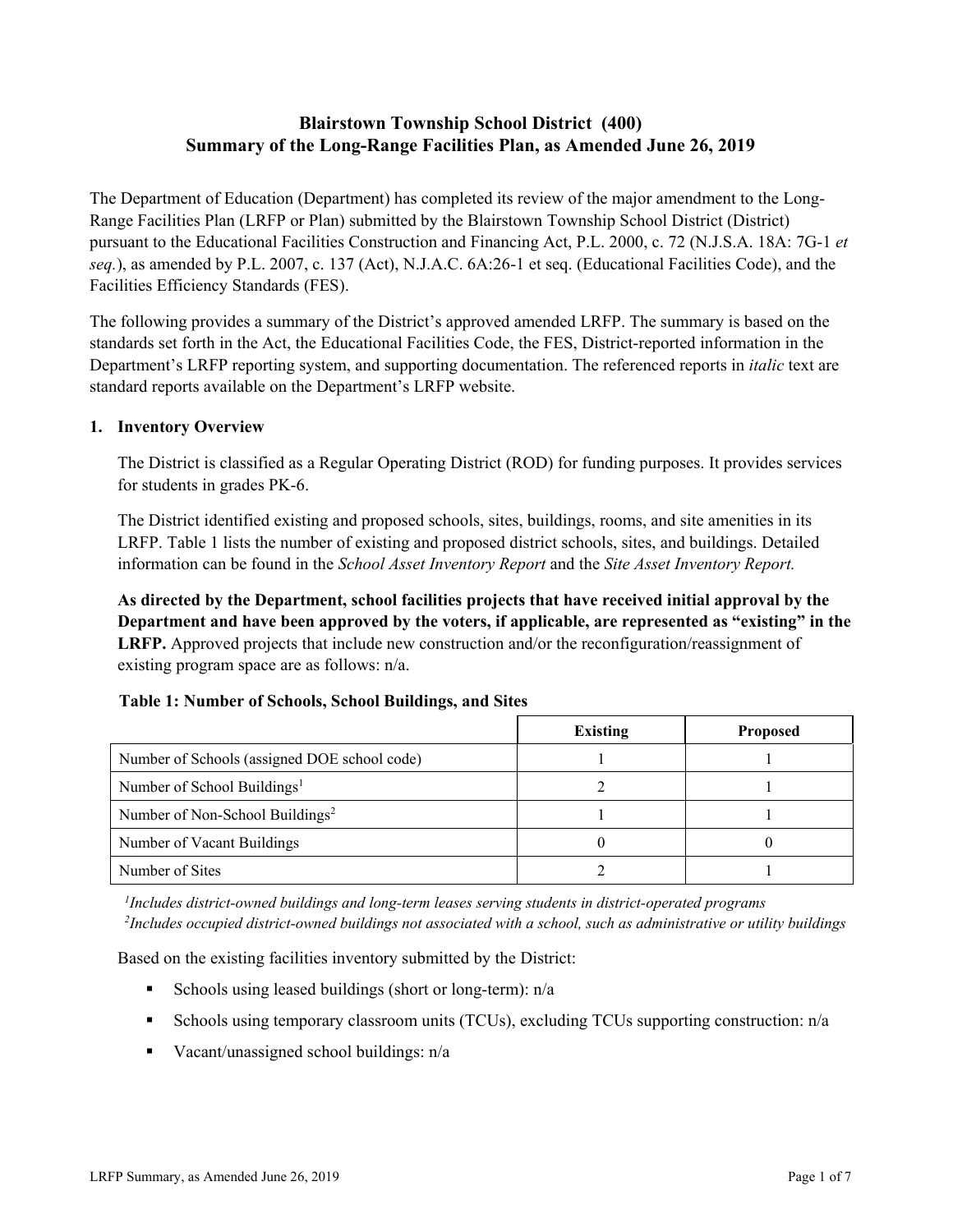# **Blairstown Township School District (400) Summary of the Long-Range Facilities Plan, as Amended June 26, 2019**

The Department of Education (Department) has completed its review of the major amendment to the Long-Range Facilities Plan (LRFP or Plan) submitted by the Blairstown Township School District (District) pursuant to the Educational Facilities Construction and Financing Act, P.L. 2000, c. 72 (N.J.S.A. 18A: 7G-1 *et seq.*), as amended by P.L. 2007, c. 137 (Act), N.J.A.C. 6A:26-1 et seq. (Educational Facilities Code), and the Facilities Efficiency Standards (FES).

The following provides a summary of the District's approved amended LRFP. The summary is based on the standards set forth in the Act, the Educational Facilities Code, the FES, District-reported information in the Department's LRFP reporting system, and supporting documentation. The referenced reports in *italic* text are standard reports available on the Department's LRFP website.

### **1. Inventory Overview**

The District is classified as a Regular Operating District (ROD) for funding purposes. It provides services for students in grades PK-6.

The District identified existing and proposed schools, sites, buildings, rooms, and site amenities in its LRFP. Table 1 lists the number of existing and proposed district schools, sites, and buildings. Detailed information can be found in the *School Asset Inventory Report* and the *Site Asset Inventory Report.*

**As directed by the Department, school facilities projects that have received initial approval by the Department and have been approved by the voters, if applicable, are represented as "existing" in the LRFP.** Approved projects that include new construction and/or the reconfiguration/reassignment of existing program space are as follows: n/a.

### **Table 1: Number of Schools, School Buildings, and Sites**

|                                              | <b>Existing</b> | <b>Proposed</b> |
|----------------------------------------------|-----------------|-----------------|
| Number of Schools (assigned DOE school code) |                 |                 |
| Number of School Buildings <sup>1</sup>      |                 |                 |
| Number of Non-School Buildings <sup>2</sup>  |                 |                 |
| Number of Vacant Buildings                   |                 |                 |
| Number of Sites                              |                 |                 |

*1 Includes district-owned buildings and long-term leases serving students in district-operated programs 2 Includes occupied district-owned buildings not associated with a school, such as administrative or utility buildings*

Based on the existing facilities inventory submitted by the District:

- Schools using leased buildings (short or long-term):  $n/a$
- Schools using temporary classroom units (TCUs), excluding TCUs supporting construction: n/a
- Vacant/unassigned school buildings:  $n/a$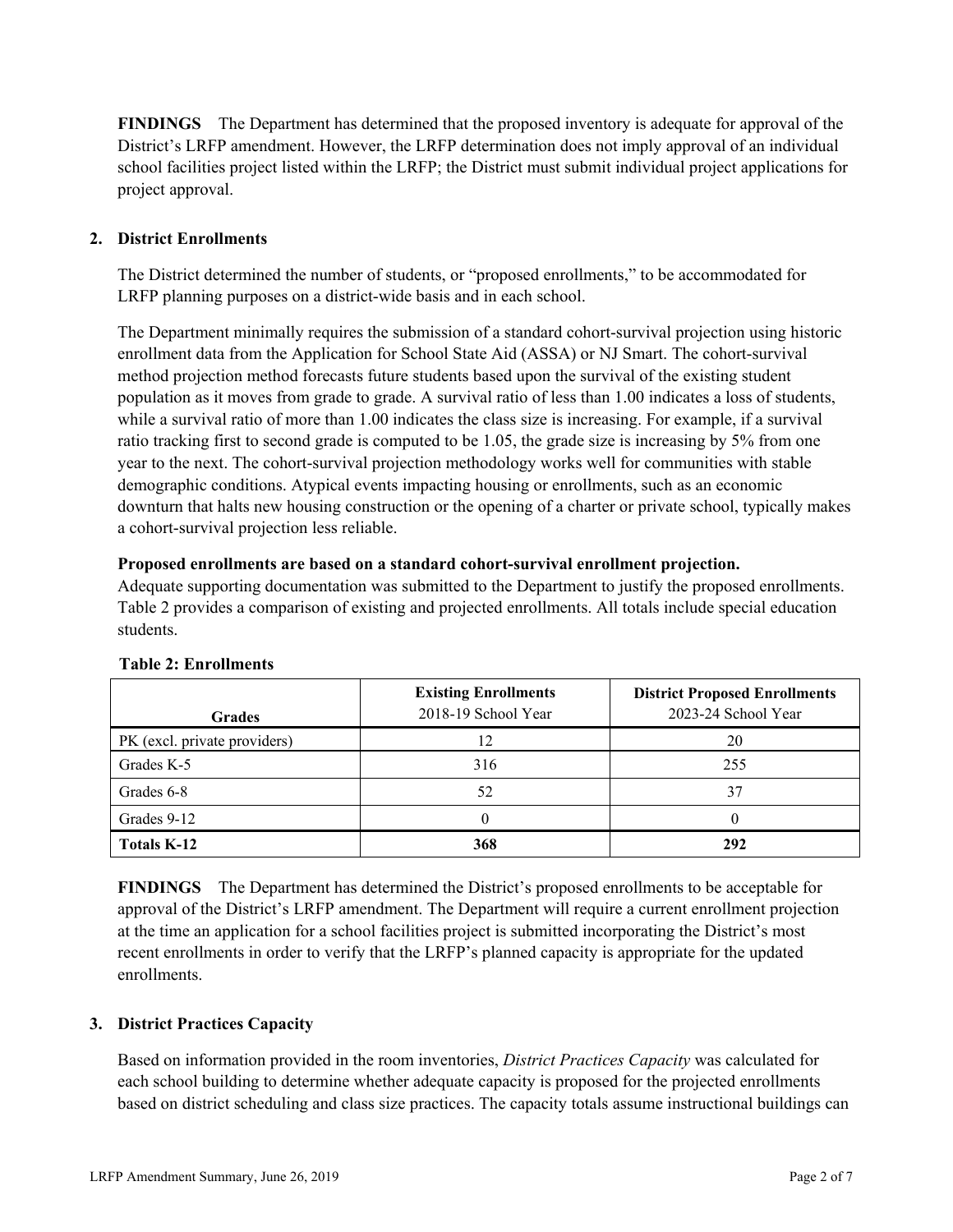**FINDINGS** The Department has determined that the proposed inventory is adequate for approval of the District's LRFP amendment. However, the LRFP determination does not imply approval of an individual school facilities project listed within the LRFP; the District must submit individual project applications for project approval.

# **2. District Enrollments**

The District determined the number of students, or "proposed enrollments," to be accommodated for LRFP planning purposes on a district-wide basis and in each school.

The Department minimally requires the submission of a standard cohort-survival projection using historic enrollment data from the Application for School State Aid (ASSA) or NJ Smart. The cohort-survival method projection method forecasts future students based upon the survival of the existing student population as it moves from grade to grade. A survival ratio of less than 1.00 indicates a loss of students, while a survival ratio of more than 1.00 indicates the class size is increasing. For example, if a survival ratio tracking first to second grade is computed to be 1.05, the grade size is increasing by 5% from one year to the next. The cohort-survival projection methodology works well for communities with stable demographic conditions. Atypical events impacting housing or enrollments, such as an economic downturn that halts new housing construction or the opening of a charter or private school, typically makes a cohort-survival projection less reliable.

### **Proposed enrollments are based on a standard cohort-survival enrollment projection.**

Adequate supporting documentation was submitted to the Department to justify the proposed enrollments. Table 2 provides a comparison of existing and projected enrollments. All totals include special education students.

| <b>Grades</b>                | <b>Existing Enrollments</b><br>2018-19 School Year | <b>District Proposed Enrollments</b><br>2023-24 School Year |
|------------------------------|----------------------------------------------------|-------------------------------------------------------------|
| PK (excl. private providers) | 12                                                 | 20                                                          |
| Grades K-5                   | 316                                                | 255                                                         |
| Grades 6-8                   | 52                                                 | 37                                                          |
| Grades 9-12                  |                                                    |                                                             |
| <b>Totals K-12</b>           | 368                                                | 292                                                         |

### **Table 2: Enrollments**

**FINDINGS** The Department has determined the District's proposed enrollments to be acceptable for approval of the District's LRFP amendment. The Department will require a current enrollment projection at the time an application for a school facilities project is submitted incorporating the District's most recent enrollments in order to verify that the LRFP's planned capacity is appropriate for the updated enrollments.

### **3. District Practices Capacity**

Based on information provided in the room inventories, *District Practices Capacity* was calculated for each school building to determine whether adequate capacity is proposed for the projected enrollments based on district scheduling and class size practices. The capacity totals assume instructional buildings can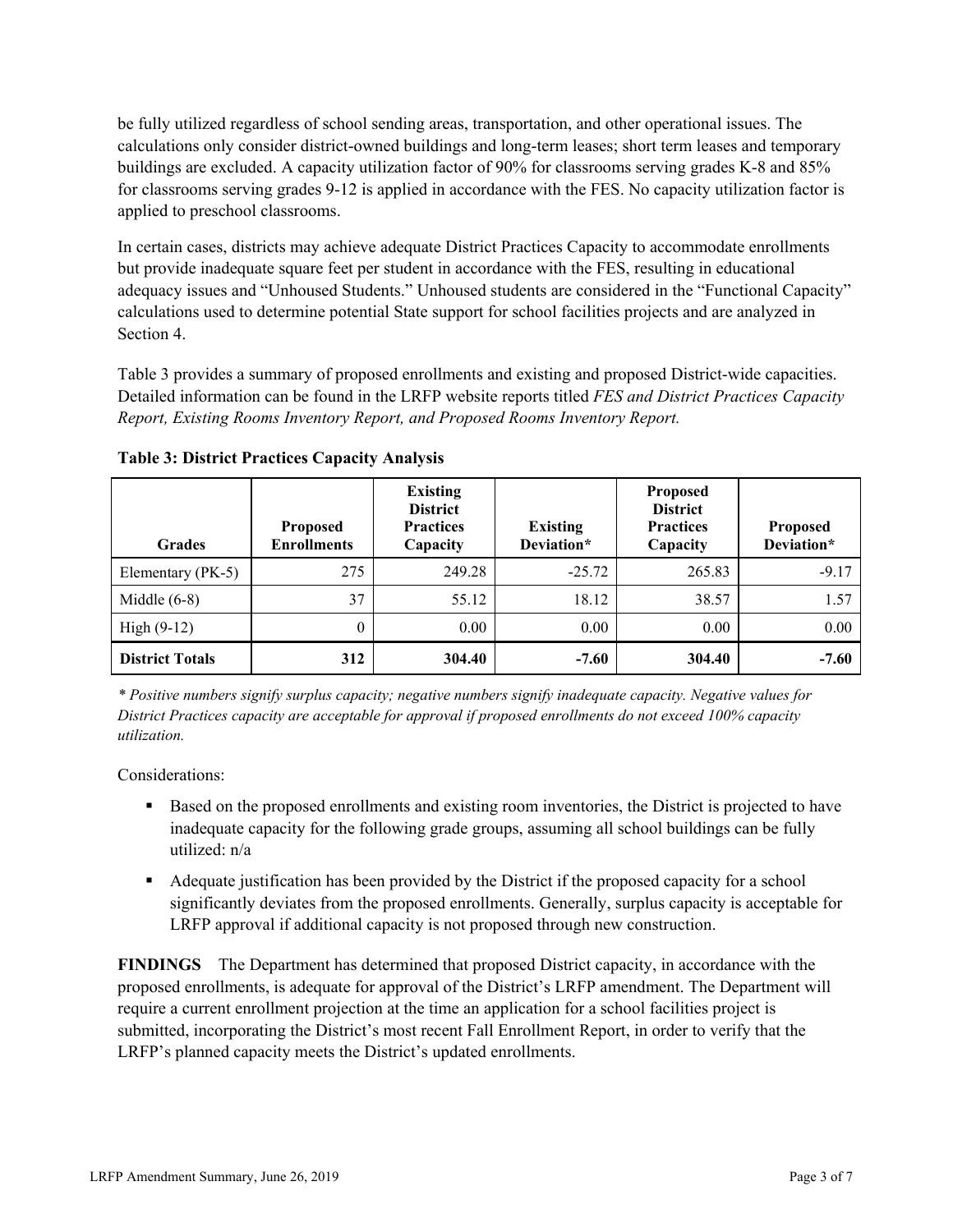be fully utilized regardless of school sending areas, transportation, and other operational issues. The calculations only consider district-owned buildings and long-term leases; short term leases and temporary buildings are excluded. A capacity utilization factor of 90% for classrooms serving grades K-8 and 85% for classrooms serving grades 9-12 is applied in accordance with the FES. No capacity utilization factor is applied to preschool classrooms.

In certain cases, districts may achieve adequate District Practices Capacity to accommodate enrollments but provide inadequate square feet per student in accordance with the FES, resulting in educational adequacy issues and "Unhoused Students." Unhoused students are considered in the "Functional Capacity" calculations used to determine potential State support for school facilities projects and are analyzed in Section 4.

Table 3 provides a summary of proposed enrollments and existing and proposed District-wide capacities. Detailed information can be found in the LRFP website reports titled *FES and District Practices Capacity Report, Existing Rooms Inventory Report, and Proposed Rooms Inventory Report.*

| <b>Grades</b>          | <b>Proposed</b><br><b>Enrollments</b> | <b>Existing</b><br><b>District</b><br><b>Practices</b><br>Capacity | <b>Existing</b><br>Deviation* | <b>Proposed</b><br><b>District</b><br><b>Practices</b><br>Capacity | <b>Proposed</b><br>Deviation* |
|------------------------|---------------------------------------|--------------------------------------------------------------------|-------------------------------|--------------------------------------------------------------------|-------------------------------|
| Elementary (PK-5)      | 275                                   | 249.28                                                             | $-25.72$                      | 265.83                                                             | $-9.17$                       |
| Middle $(6-8)$         | 37                                    | 55.12                                                              | 18.12                         | 38.57                                                              | 1.57                          |
| High $(9-12)$          | $\theta$                              | $0.00\,$                                                           | 0.00                          | 0.00                                                               | 0.00                          |
| <b>District Totals</b> | 312                                   | 304.40                                                             | $-7.60$                       | 304.40                                                             | $-7.60$                       |

**Table 3: District Practices Capacity Analysis**

*\* Positive numbers signify surplus capacity; negative numbers signify inadequate capacity. Negative values for District Practices capacity are acceptable for approval if proposed enrollments do not exceed 100% capacity utilization.*

Considerations:

- Based on the proposed enrollments and existing room inventories, the District is projected to have inadequate capacity for the following grade groups, assuming all school buildings can be fully utilized: n/a
- Adequate justification has been provided by the District if the proposed capacity for a school significantly deviates from the proposed enrollments. Generally, surplus capacity is acceptable for LRFP approval if additional capacity is not proposed through new construction.

**FINDINGS**The Department has determined that proposed District capacity, in accordance with the proposed enrollments, is adequate for approval of the District's LRFP amendment. The Department will require a current enrollment projection at the time an application for a school facilities project is submitted, incorporating the District's most recent Fall Enrollment Report, in order to verify that the LRFP's planned capacity meets the District's updated enrollments.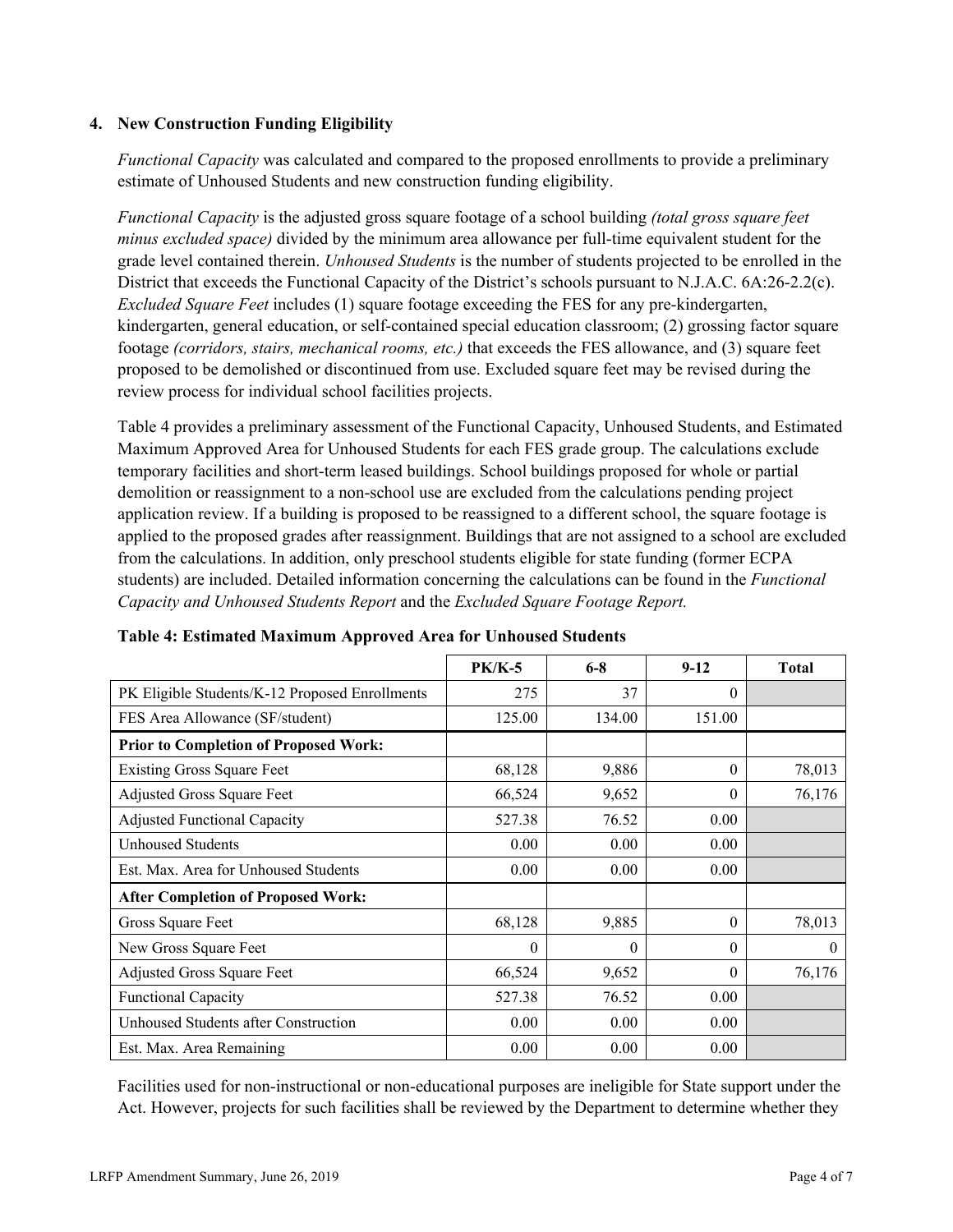### **4. New Construction Funding Eligibility**

*Functional Capacity* was calculated and compared to the proposed enrollments to provide a preliminary estimate of Unhoused Students and new construction funding eligibility.

*Functional Capacity* is the adjusted gross square footage of a school building *(total gross square feet minus excluded space)* divided by the minimum area allowance per full-time equivalent student for the grade level contained therein. *Unhoused Students* is the number of students projected to be enrolled in the District that exceeds the Functional Capacity of the District's schools pursuant to N.J.A.C. 6A:26-2.2(c). *Excluded Square Feet* includes (1) square footage exceeding the FES for any pre-kindergarten, kindergarten, general education, or self-contained special education classroom; (2) grossing factor square footage *(corridors, stairs, mechanical rooms, etc.)* that exceeds the FES allowance, and (3) square feet proposed to be demolished or discontinued from use. Excluded square feet may be revised during the review process for individual school facilities projects.

Table 4 provides a preliminary assessment of the Functional Capacity, Unhoused Students, and Estimated Maximum Approved Area for Unhoused Students for each FES grade group. The calculations exclude temporary facilities and short-term leased buildings. School buildings proposed for whole or partial demolition or reassignment to a non-school use are excluded from the calculations pending project application review. If a building is proposed to be reassigned to a different school, the square footage is applied to the proposed grades after reassignment. Buildings that are not assigned to a school are excluded from the calculations. In addition, only preschool students eligible for state funding (former ECPA students) are included. Detailed information concerning the calculations can be found in the *Functional Capacity and Unhoused Students Report* and the *Excluded Square Footage Report.*

|                                                | <b>PK/K-5</b> | $6 - 8$  | $9-12$   | <b>Total</b> |
|------------------------------------------------|---------------|----------|----------|--------------|
| PK Eligible Students/K-12 Proposed Enrollments | 275           | 37       | $\Omega$ |              |
| FES Area Allowance (SF/student)                | 125.00        | 134.00   | 151.00   |              |
| <b>Prior to Completion of Proposed Work:</b>   |               |          |          |              |
| <b>Existing Gross Square Feet</b>              | 68,128        | 9,886    | $\Omega$ | 78,013       |
| Adjusted Gross Square Feet                     | 66,524        | 9,652    | $\theta$ | 76,176       |
| <b>Adjusted Functional Capacity</b>            | 527.38        | 76.52    | 0.00     |              |
| Unhoused Students                              | 0.00          | 0.00     | 0.00     |              |
| Est. Max. Area for Unhoused Students           | 0.00          | 0.00     | 0.00     |              |
| <b>After Completion of Proposed Work:</b>      |               |          |          |              |
| Gross Square Feet                              | 68,128        | 9,885    | $\Omega$ | 78,013       |
| New Gross Square Feet                          | 0             | $\theta$ | $\Omega$ | $\theta$     |
| <b>Adjusted Gross Square Feet</b>              | 66,524        | 9,652    | $\Omega$ | 76,176       |
| Functional Capacity                            | 527.38        | 76.52    | 0.00     |              |
| Unhoused Students after Construction           | 0.00          | 0.00     | 0.00     |              |
| Est. Max. Area Remaining                       | 0.00          | 0.00     | 0.00     |              |

### **Table 4: Estimated Maximum Approved Area for Unhoused Students**

Facilities used for non-instructional or non-educational purposes are ineligible for State support under the Act. However, projects for such facilities shall be reviewed by the Department to determine whether they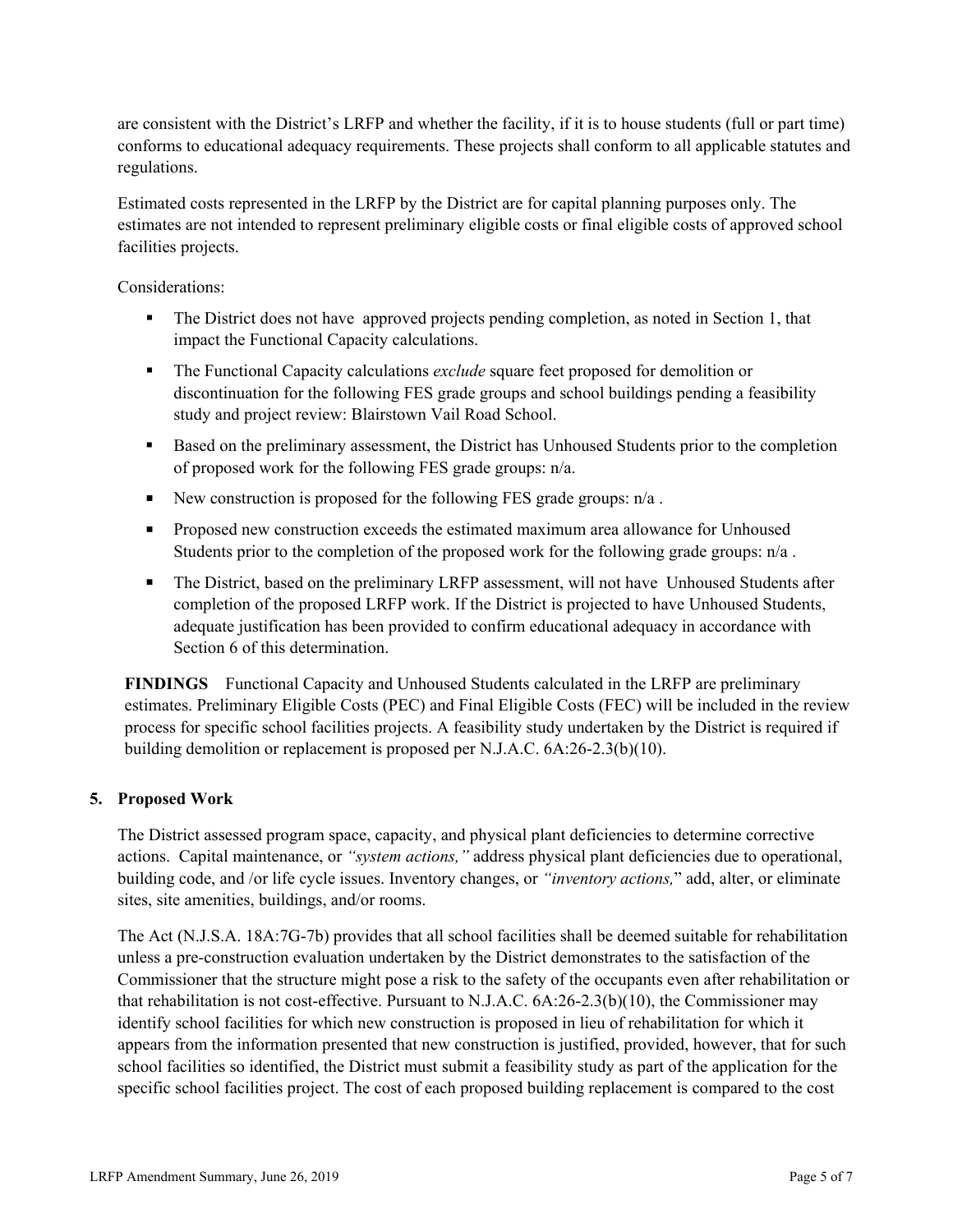are consistent with the District's LRFP and whether the facility, if it is to house students (full or part time) conforms to educational adequacy requirements. These projects shall conform to all applicable statutes and regulations.

Estimated costs represented in the LRFP by the District are for capital planning purposes only. The estimates are not intended to represent preliminary eligible costs or final eligible costs of approved school facilities projects.

Considerations:

- The District does not have approved projects pending completion, as noted in Section 1, that impact the Functional Capacity calculations.
- The Functional Capacity calculations *exclude* square feet proposed for demolition or discontinuation for the following FES grade groups and school buildings pending a feasibility study and project review: Blairstown Vail Road School.
- Based on the preliminary assessment, the District has Unhoused Students prior to the completion of proposed work for the following FES grade groups: n/a.
- New construction is proposed for the following FES grade groups:  $n/a$ .
- **Proposed new construction exceeds the estimated maximum area allowance for Unhoused** Students prior to the completion of the proposed work for the following grade groups: n/a .
- The District, based on the preliminary LRFP assessment, will not have Unhoused Students after completion of the proposed LRFP work. If the District is projected to have Unhoused Students, adequate justification has been provided to confirm educational adequacy in accordance with Section 6 of this determination.

**FINDINGS** Functional Capacity and Unhoused Students calculated in the LRFP are preliminary estimates. Preliminary Eligible Costs (PEC) and Final Eligible Costs (FEC) will be included in the review process for specific school facilities projects. A feasibility study undertaken by the District is required if building demolition or replacement is proposed per N.J.A.C. 6A:26-2.3(b)(10).

### **5. Proposed Work**

The District assessed program space, capacity, and physical plant deficiencies to determine corrective actions. Capital maintenance, or *"system actions,"* address physical plant deficiencies due to operational, building code, and /or life cycle issues. Inventory changes, or *"inventory actions,*" add, alter, or eliminate sites, site amenities, buildings, and/or rooms.

The Act (N.J.S.A. 18A:7G-7b) provides that all school facilities shall be deemed suitable for rehabilitation unless a pre-construction evaluation undertaken by the District demonstrates to the satisfaction of the Commissioner that the structure might pose a risk to the safety of the occupants even after rehabilitation or that rehabilitation is not cost-effective. Pursuant to N.J.A.C. 6A:26-2.3(b)(10), the Commissioner may identify school facilities for which new construction is proposed in lieu of rehabilitation for which it appears from the information presented that new construction is justified, provided, however, that for such school facilities so identified, the District must submit a feasibility study as part of the application for the specific school facilities project. The cost of each proposed building replacement is compared to the cost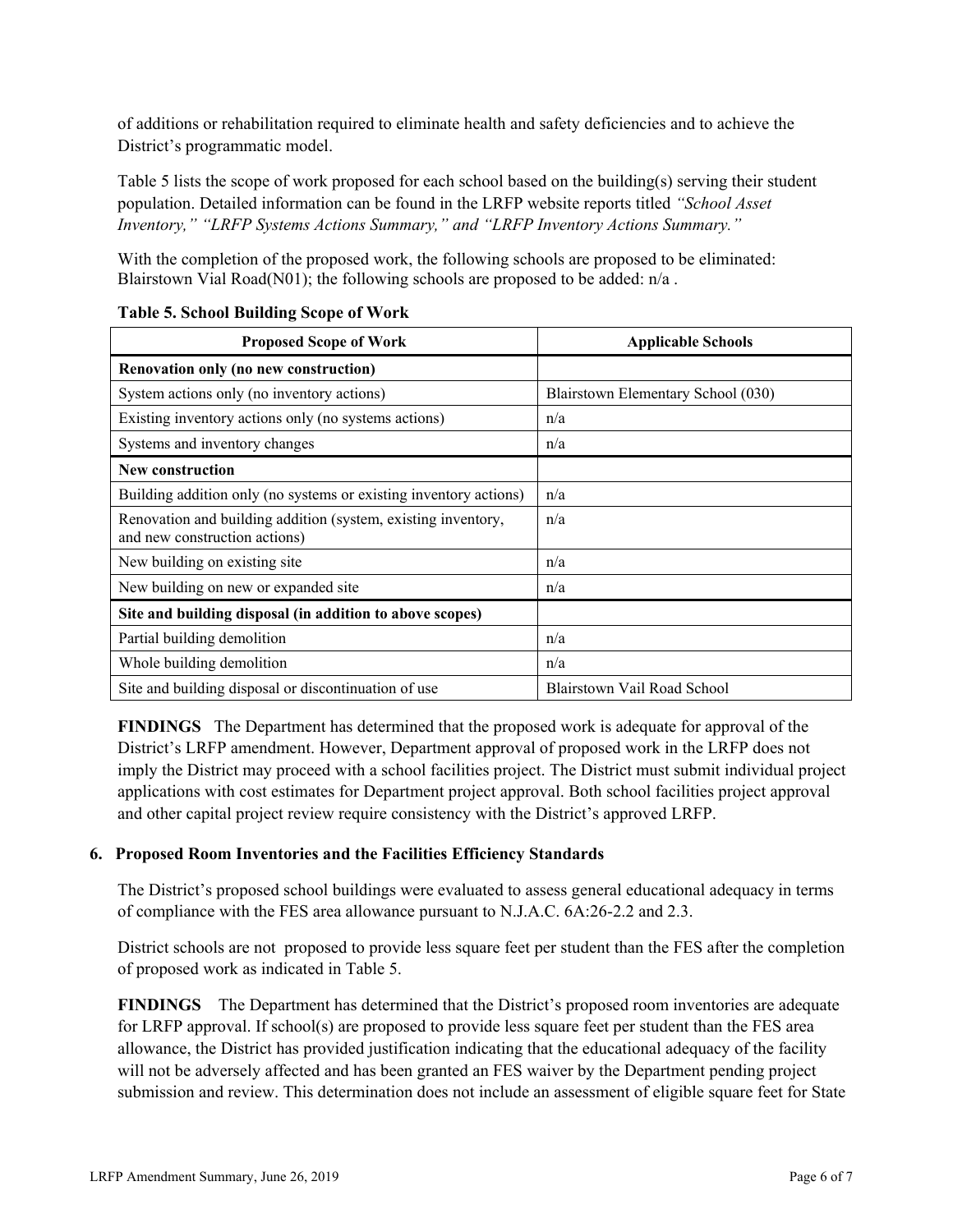of additions or rehabilitation required to eliminate health and safety deficiencies and to achieve the District's programmatic model.

Table 5 lists the scope of work proposed for each school based on the building(s) serving their student population. Detailed information can be found in the LRFP website reports titled *"School Asset Inventory," "LRFP Systems Actions Summary," and "LRFP Inventory Actions Summary."*

With the completion of the proposed work, the following schools are proposed to be eliminated: Blairstown Vial Road(N01); the following schools are proposed to be added: n/a.

| <b>Proposed Scope of Work</b>                                                                  | <b>Applicable Schools</b>          |
|------------------------------------------------------------------------------------------------|------------------------------------|
| Renovation only (no new construction)                                                          |                                    |
| System actions only (no inventory actions)                                                     | Blairstown Elementary School (030) |
| Existing inventory actions only (no systems actions)                                           | n/a                                |
| Systems and inventory changes                                                                  | n/a                                |
| New construction                                                                               |                                    |
| Building addition only (no systems or existing inventory actions)                              | n/a                                |
| Renovation and building addition (system, existing inventory,<br>and new construction actions) | n/a                                |
| New building on existing site                                                                  | n/a                                |
| New building on new or expanded site                                                           | n/a                                |
| Site and building disposal (in addition to above scopes)                                       |                                    |
| Partial building demolition                                                                    | n/a                                |
| Whole building demolition                                                                      | n/a                                |
| Site and building disposal or discontinuation of use                                           | Blairstown Vail Road School        |

### **Table 5. School Building Scope of Work**

**FINDINGS** The Department has determined that the proposed work is adequate for approval of the District's LRFP amendment. However, Department approval of proposed work in the LRFP does not imply the District may proceed with a school facilities project. The District must submit individual project applications with cost estimates for Department project approval. Both school facilities project approval and other capital project review require consistency with the District's approved LRFP.

# **6. Proposed Room Inventories and the Facilities Efficiency Standards**

The District's proposed school buildings were evaluated to assess general educational adequacy in terms of compliance with the FES area allowance pursuant to N.J.A.C. 6A:26-2.2 and 2.3.

District schools are not proposed to provide less square feet per student than the FES after the completion of proposed work as indicated in Table 5.

**FINDINGS** The Department has determined that the District's proposed room inventories are adequate for LRFP approval. If school(s) are proposed to provide less square feet per student than the FES area allowance, the District has provided justification indicating that the educational adequacy of the facility will not be adversely affected and has been granted an FES waiver by the Department pending project submission and review. This determination does not include an assessment of eligible square feet for State